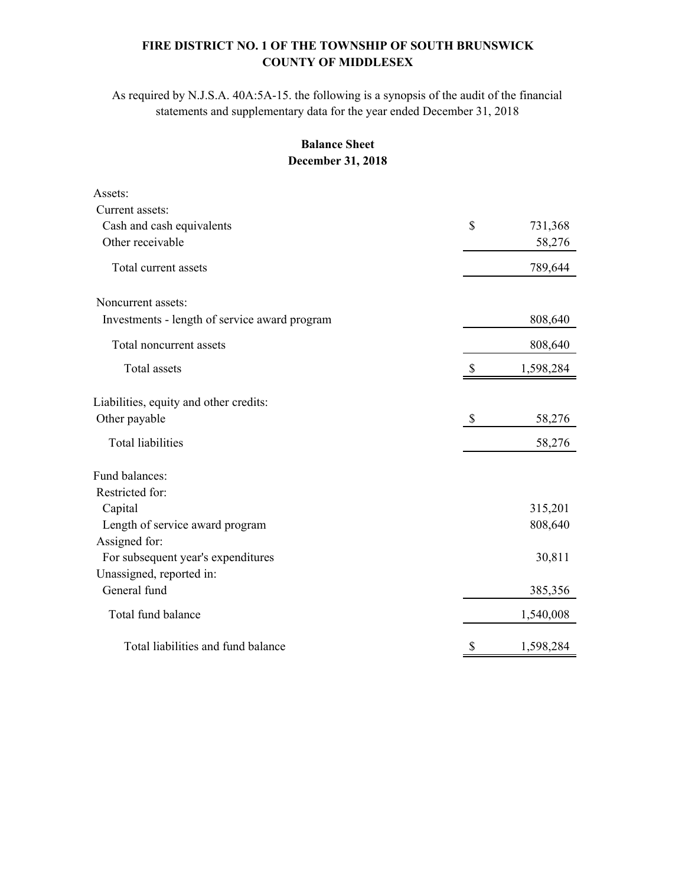## **FIRE DISTRICT NO. 1 OF THE TOWNSHIP OF SOUTH BRUNSWICK COUNTY OF MIDDLESEX**

As required by N.J.S.A. 40A:5A-15. the following is a synopsis of the audit of the financial statements and supplementary data for the year ended December 31, 2018

## **Balance Sheet December 31, 2018**

| Assets:                                       |              |           |
|-----------------------------------------------|--------------|-----------|
| Current assets:                               |              |           |
| Cash and cash equivalents                     | $\mathbb{S}$ | 731,368   |
| Other receivable                              |              | 58,276    |
| Total current assets                          |              | 789,644   |
| Noncurrent assets:                            |              |           |
| Investments - length of service award program |              | 808,640   |
| Total noncurrent assets                       |              | 808,640   |
| <b>Total</b> assets                           | \$           | 1,598,284 |
| Liabilities, equity and other credits:        |              |           |
| Other payable                                 | \$           | 58,276    |
| <b>Total liabilities</b>                      |              | 58,276    |
| Fund balances:                                |              |           |
| Restricted for:                               |              |           |
| Capital                                       |              | 315,201   |
| Length of service award program               |              | 808,640   |
| Assigned for:                                 |              |           |
| For subsequent year's expenditures            |              | 30,811    |
| Unassigned, reported in:                      |              |           |
| General fund                                  |              | 385,356   |
| Total fund balance                            |              | 1,540,008 |
| Total liabilities and fund balance            | \$           | 1,598,284 |